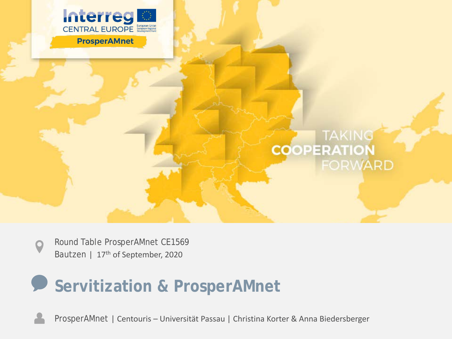

# **COOPERATION FORWARD**

Round Table ProsperAMnet CE1569 Bautzen | 17<sup>th</sup> of September, 2020

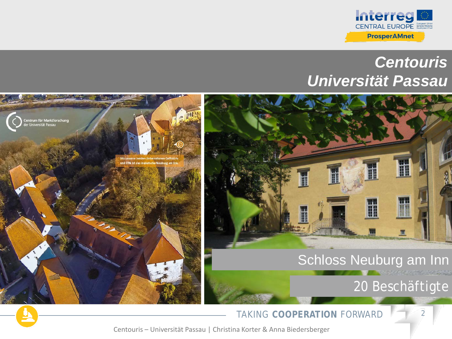

## *Centouris Universität Passau*



TAKING COOPERATION FORWARD **2**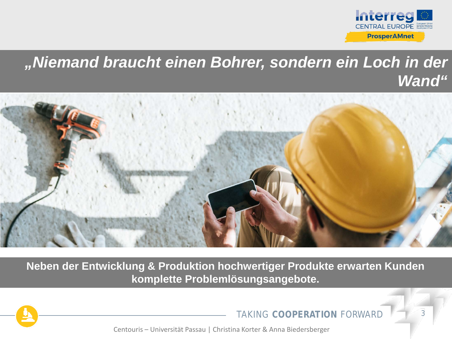

### *"Niemand braucht einen Bohrer, sondern ein Loch in der Wand"*



**Neben der Entwicklung & Produktion hochwertiger Produkte erwarten Kunden komplette Problemlösungsangebote.**



**TAKING COOPERATION FORWARD**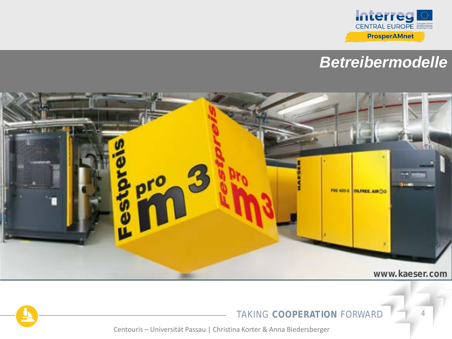

## *Betreibermodelle*



#### **TAKING COOPERATION FORWARD**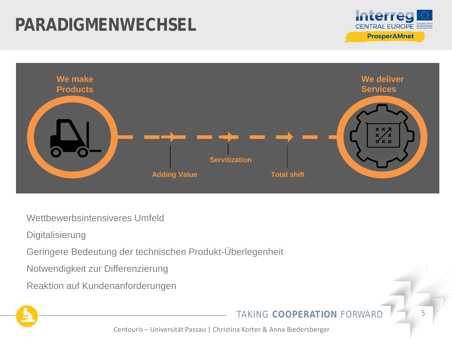# **PARADIGMENWECHSEL**





Wettbewerbsintensiveres Umfeld

**Digitalisierung** 

Geringere Bedeutung der technischen Produkt-Überlegenheit

Notwendigkeit zur Differenzierung

Reaktion auf Kundenanforderungen

#### TAKING COOPERATION FORWARD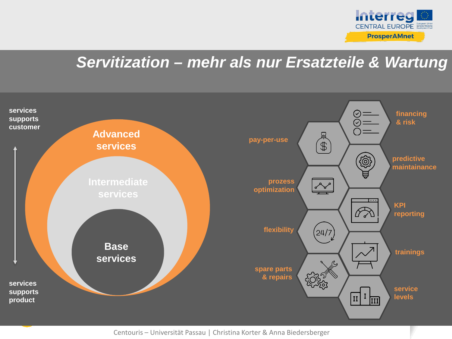

## *Servitization – mehr als nur Ersatzteile & Wartung*

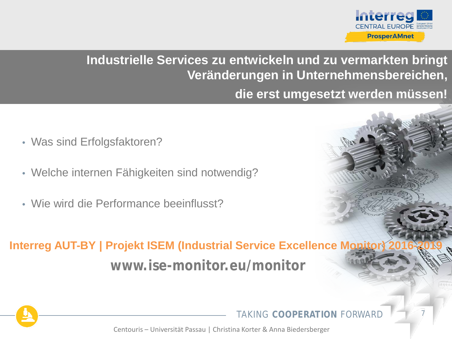

#### **Industrielle Services zu entwickeln und zu vermarkten bringt Veränderungen in Unternehmensbereichen,**

**die erst umgesetzt werden müssen!**

- Was sind Erfolgsfaktoren?
- Welche internen Fähigkeiten sind notwendig?
- Wie wird die Performance beeinflusst?

**www.ise-monitor.eu/monitor Interreg AUT-BY | Projekt ISEM (Industrial Service Excellence Monitor)** 



**TAKING COOPERATION FORWARD**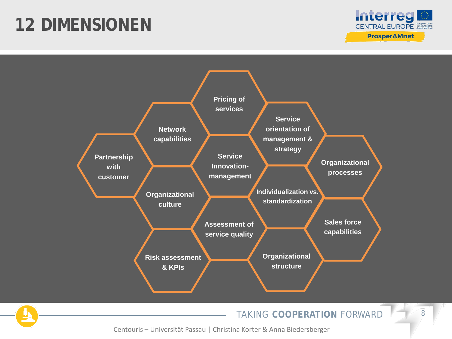# **12 DIMENSIONEN**





TAKING COOPERATION FORWARD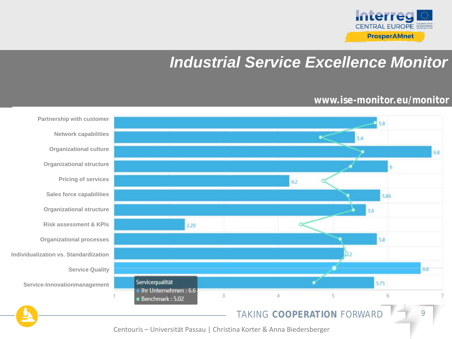

# *Industrial Service Excellence Monitor*

#### **www.ise-monitor.eu/monitor**

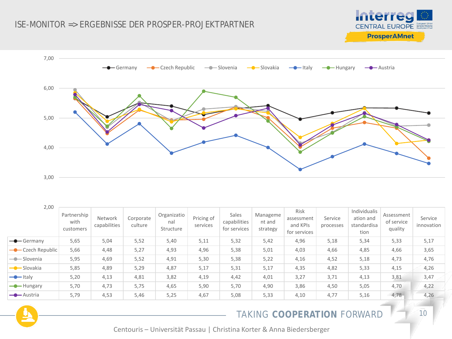



| 2,00                       |                                  |                         |                      |                                 |                        |                                       |                                |                                                       |                      |                                                  |                                     |                       |
|----------------------------|----------------------------------|-------------------------|----------------------|---------------------------------|------------------------|---------------------------------------|--------------------------------|-------------------------------------------------------|----------------------|--------------------------------------------------|-------------------------------------|-----------------------|
|                            | Partnership<br>with<br>customers | Network<br>capabilities | Corporate<br>culture | Organizatio<br>nal<br>Structure | Pricing of<br>services | Sales<br>capabilities<br>for services | Manageme<br>nt and<br>strategy | <b>Risk</b><br>assessment<br>and KPIs<br>for services | Service<br>processes | Individualis<br>ation and<br>standardisa<br>tion | Assessment<br>of service<br>quality | Service<br>innovation |
| $\leftarrow$ Germany       | 5,65                             | 5,04                    | 5,52                 | 5,40                            | 5,11                   | 5,32                                  | 5,42                           | 4,96                                                  | 5,18                 | 5,34                                             | 5,33                                | 5,17                  |
| -Czech Republic            | 5,66                             | 4,48                    | 5,27                 | 4,93                            | 4,96                   | 5,38                                  | 5,01                           | 4,03                                                  | 4,66                 | 4,85                                             | 4,66                                | 3,65                  |
| $\longrightarrow$ Slovenia | 5,95                             | 4,69                    | 5,52                 | 4,91                            | 5,30                   | 5,38                                  | 5,22                           | 4,16                                                  | 4,52                 | 5,18                                             | 4,73                                | 4,76                  |
| - Slovakia                 | 5,85                             | 4,89                    | 5,29                 | 4,87                            | 5,17                   | 5,31                                  | 5,17                           | 4,35                                                  | 4,82                 | 5,33                                             | 4,15                                | 4,26                  |
| $\rightarrow$ Italy        | 5,20                             | 4,13                    | 4,81                 | 3,82                            | 4,19                   | 4,42                                  | 4,01                           | 3,27                                                  | 3,71                 | 4,13                                             | 3,81                                | 3,47                  |
| $\rightarrow$ Hungary      | 5,70                             | 4,73                    | 5,75                 | 4,65                            | 5,90                   | 5,70                                  | 4,90                           | 3,86                                                  | 4,50                 | 5,05                                             | 4,70                                | 4,22                  |
| $\rightarrow$ Austria      | 5,79                             | 4,53                    | 5,46                 | 5,25                            | 4,67                   | 5,08                                  | 5,33                           | 4,10                                                  | 4,77                 | 5,16                                             | 4,78                                | 4,26                  |

#### TAKING COOPERATION FORWARD 10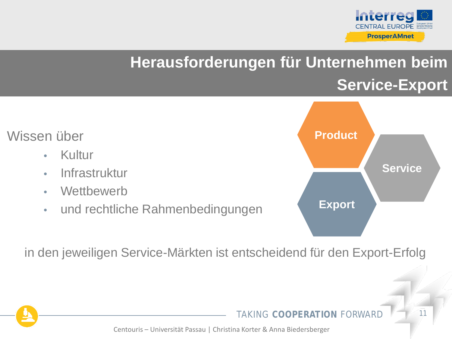

# **Herausforderungen für Unternehmen beim Service-Export**



in den jeweiligen Service-Märkten ist entscheidend für den Export-Erfolg

**TAKING COOPFRATION FORWARD**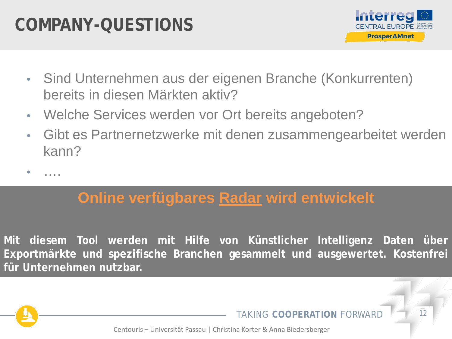# **COMPANY-QUESTIONS**



- Sind Unternehmen aus der eigenen Branche (Konkurrenten) bereits in diesen Märkten aktiv?
- Welche Services werden vor Ort bereits angeboten?
- Gibt es Partnernetzwerke mit denen zusammengearbeitet werden kann?

• ….

## **Online verfügbares Radar wird entwickelt**

**Mit diesem Tool werden mit Hilfe von Künstlicher Intelligenz Daten über Exportmärkte und spezifische Branchen gesammelt und ausgewertet. Kostenfrei für Unternehmen nutzbar.**



**TAKING COOPFRATION FORWARD**